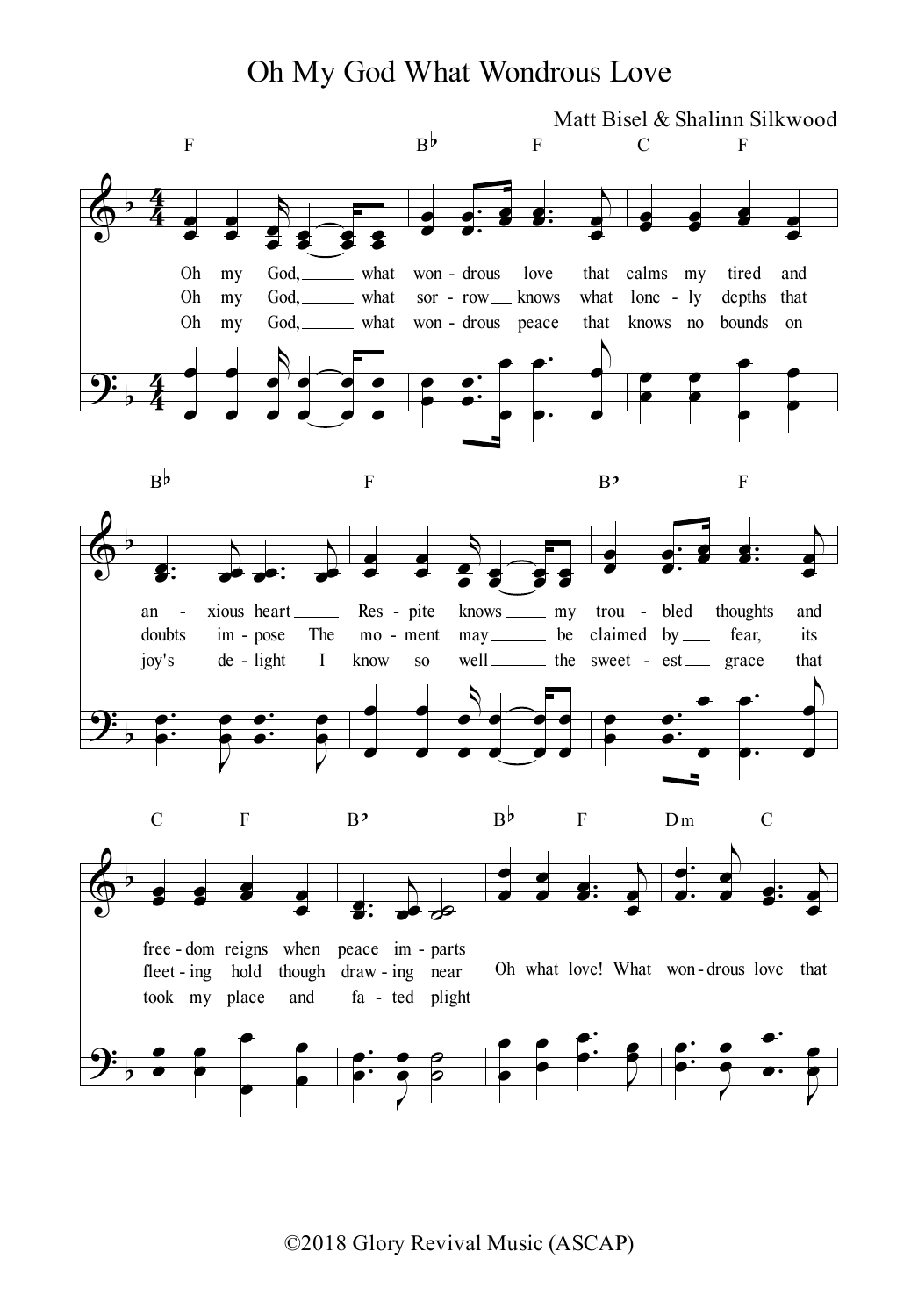## Oh My God What Wondrous Love



©2018 Glory Revival Music (ASCAP)